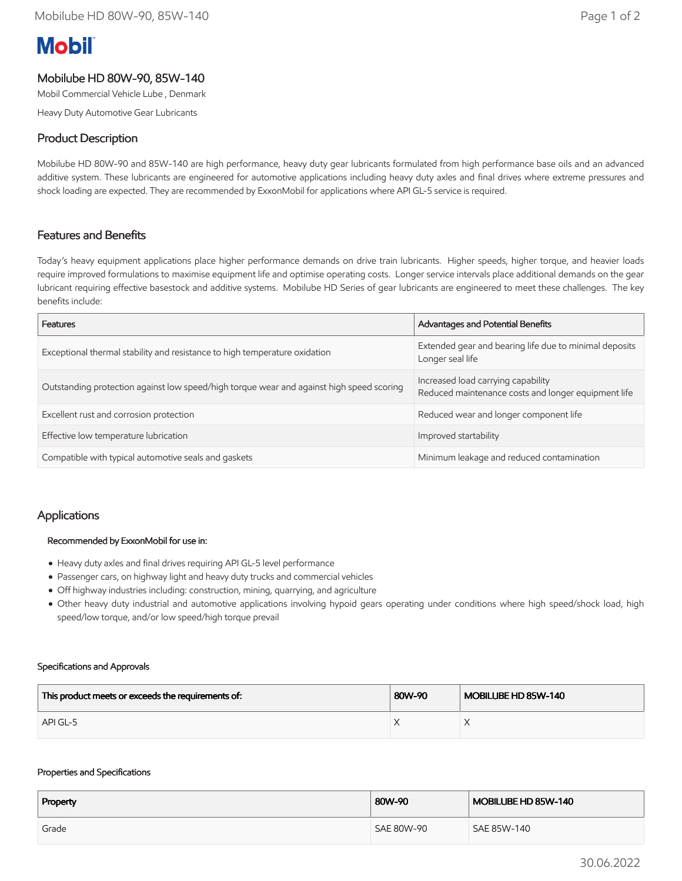# **Mobil**

# Mobilube HD 80W-90, 85W-140

Mobil Commercial Vehicle Lube , Denmark

Heavy Duty Automotive Gear Lubricants

## Product Description

Mobilube HD 80W-90 and 85W-140 are high performance, heavy duty gear lubricants formulated from high performance base oils and an advanced additive system. These lubricants are engineered for automotive applications including heavy duty axles and final drives where extreme pressures and shock loading are expected. They are recommended by ExxonMobil for applications where API GL-5 service is required.

## Features and Benefits

Today's heavy equipment applications place higher performance demands on drive train lubricants. Higher speeds, higher torque, and heavier loads require improved formulations to maximise equipment life and optimise operating costs. Longer service intervals place additional demands on the gear lubricant requiring effective basestock and additive systems. Mobilube HD Series of gear lubricants are engineered to meet these challenges. The key benefits include:

| Features                                                                                 | Advantages and Potential Benefits                                                         |
|------------------------------------------------------------------------------------------|-------------------------------------------------------------------------------------------|
| Exceptional thermal stability and resistance to high temperature oxidation               | Extended gear and bearing life due to minimal deposits<br>Longer seal life                |
| Outstanding protection against low speed/high torque wear and against high speed scoring | Increased load carrying capability<br>Reduced maintenance costs and longer equipment life |
| Excellent rust and corrosion protection                                                  | Reduced wear and longer component life                                                    |
| Effective low temperature lubrication                                                    | Improved startability                                                                     |
| Compatible with typical automotive seals and gaskets                                     | Minimum leakage and reduced contamination                                                 |

## Applications

#### Recommended by ExxonMobil for use in:

- Heavy duty axles and final drives requiring API GL-5 level performance
- Passenger cars, on highway light and heavy duty trucks and commercial vehicles
- Off highway industries including: construction, mining, quarrying, and agriculture
- Other heavy duty industrial and automotive applications involving hypoid gears operating under conditions where high speed/shock load, high speed/low torque, and/or low speed/high torque prevail

#### Specifications and Approvals

| This product meets or exceeds the requirements of: | 80W-90 | MOBILUBE HD 85W-140 |
|----------------------------------------------------|--------|---------------------|
| API GL-5                                           |        |                     |

#### Properties and Specifications

| Property | 80W-90     | MOBILUBE HD 85W-140 |
|----------|------------|---------------------|
| Grade    | SAE 80W-90 | SAE 85W-140         |